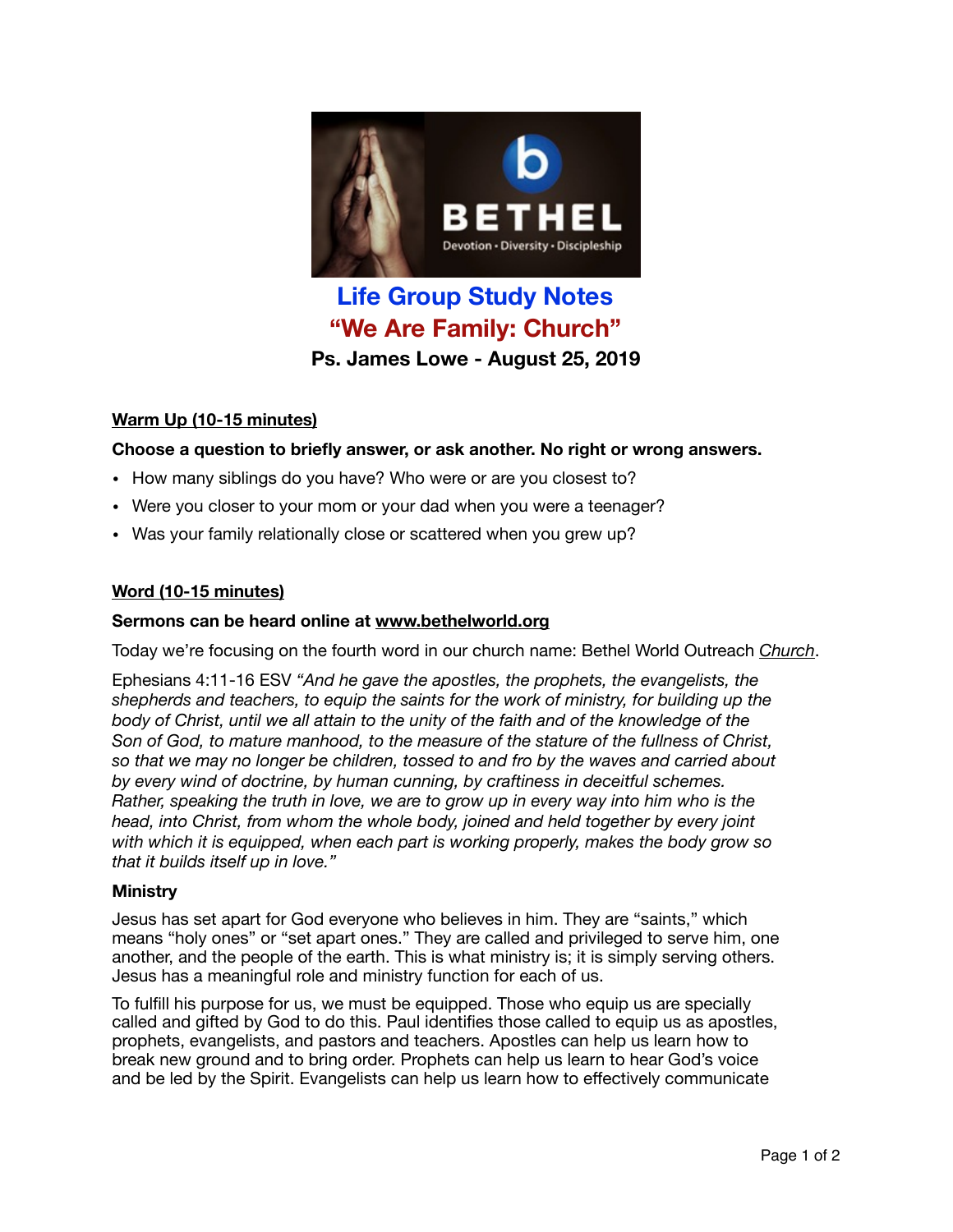

# **Life Group Study Notes "We Are Family: Church" Ps. James Lowe - August 25, 2019**

# **Warm Up (10-15 minutes)**

# **Choose a question to briefly answer, or ask another. No right or wrong answers.**

- How many siblings do you have? Who were or are you closest to?
- Were you closer to your mom or your dad when you were a teenager?
- Was your family relationally close or scattered when you grew up?

## **Word (10-15 minutes)**

## **Sermons can be heard online at [www.bethelworld.org](http://www.bethelworld.org)**

Today we're focusing on the fourth word in our church name: Bethel World Outreach *Church*.

Ephesians 4:11-16 ESV *"And he gave the apostles, the prophets, the evangelists, the shepherds and teachers, to equip the saints for the work of ministry, for building up the body of Christ, until we all attain to the unity of the faith and of the knowledge of the Son of God, to mature manhood, to the measure of the stature of the fullness of Christ, so that we may no longer be children, tossed to and fro by the waves and carried about by every wind of doctrine, by human cunning, by craftiness in deceitful schemes. Rather, speaking the truth in love, we are to grow up in every way into him who is the head, into Christ, from whom the whole body, joined and held together by every joint with which it is equipped, when each part is working properly, makes the body grow so that it builds itself up in love."* 

#### **Ministry**

Jesus has set apart for God everyone who believes in him. They are "saints," which means "holy ones" or "set apart ones." They are called and privileged to serve him, one another, and the people of the earth. This is what ministry is; it is simply serving others. Jesus has a meaningful role and ministry function for each of us.

To fulfill his purpose for us, we must be equipped. Those who equip us are specially called and gifted by God to do this. Paul identifies those called to equip us as apostles, prophets, evangelists, and pastors and teachers. Apostles can help us learn how to break new ground and to bring order. Prophets can help us learn to hear God's voice and be led by the Spirit. Evangelists can help us learn how to effectively communicate